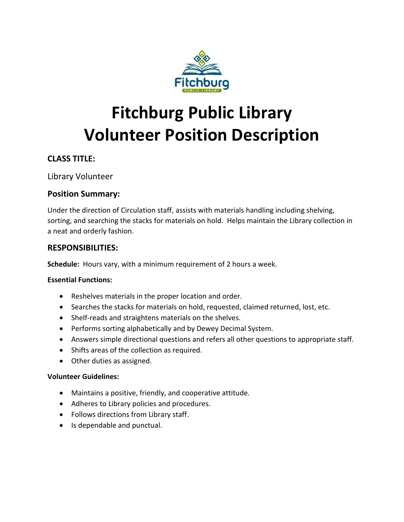

# **Fitchburg Public Library Volunteer Position Description**

## **CLASS TITLE:**

Library Volunteer

## **Position Summary:**

Under the direction of Circulation staff, assists with materials handling including shelving, sorting, and searching the stacks for materials on hold. Helps maintain the Library collection in a neat and orderly fashion.

## **RESPONSIBILITIES:**

**Schedule:** Hours vary, with a minimum requirement of 2 hours a week.

## **Essential Functions:**

- Reshelves materials in the proper location and order.
- Searches the stacks for materials on hold, requested, claimed returned, lost, etc.
- Shelf-reads and straightens materials on the shelves.
- Performs sorting alphabetically and by Dewey Decimal System.
- Answers simple directional questions and refers all other questions to appropriate staff.
- Shifts areas of the collection as required.
- Other duties as assigned.

#### **Volunteer Guidelines:**

- Maintains a positive, friendly, and cooperative attitude.
- Adheres to Library policies and procedures.
- Follows directions from Library staff.
- Is dependable and punctual.